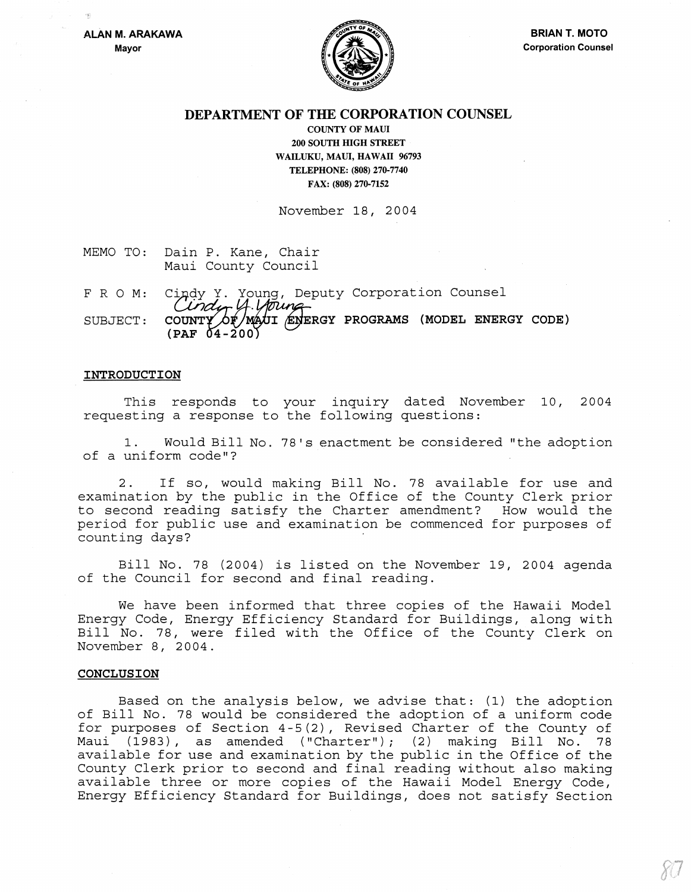

## DEPARTMENT OF THE CORPORATION COUNSEL

COUNTY OF MAUl 200 SOUTH HIGH STREET WAILUKU, MAUl, HAWAII 96793 TELEPHONE: (808) 270-7740 FAX: (808) 270-7152

November 18, 2004

- MEMO TO: Dain P. Kane, Chair Maui County Council
- FRO M: SUBJECT: Cindy Y. Young, Deputy Corporation Counsel<br>Cindur 4. Moune COUNTY OF MAUI ENERGY PROGRAMS (MODEL ENERGY CODE)<br>(PAF 04-200)

#### INTRODUCTION

This responds to your inquiry dated November 10, 2004 requesting a response to the following questions:

1. Would Bill No. 78's enactment be considered "the adoption of a uniform code"?

2. If so, would making Bill No. 78 available for use and examination by the public in the Office of the County Clerk prior to second reading satisfy the Charter amendment? How would the period for public use and examination be commenced for purposes of counting days?

Bill No. 78 (2004) is listed on the November 19, 2004 agenda of the Council for second and final reading.

We have been informed that three copies of the Hawaii Model Energy Code, Energy Efficiency Standard for Buildings, along with Bill No. 78, were filed with the Office of the County Clerk on November 8, 2004.

#### CONCLUSION

Based on the analysis below, we advise that: (1) the adoption of Bill No. 78 would be considered the adoption of a uniform code for purposes of Section 4-5(2), Revised Charter of the County of Maui (1983), as amended ("Charter") *i* (2) making Bill No. 78 available for use and examination by the public in the Office of the County Clerk prior to second and final reading without also making available three or more copies of the Hawaii Model Energy Code, Energy Efficiency Standard for Buildings, does not satisfy Section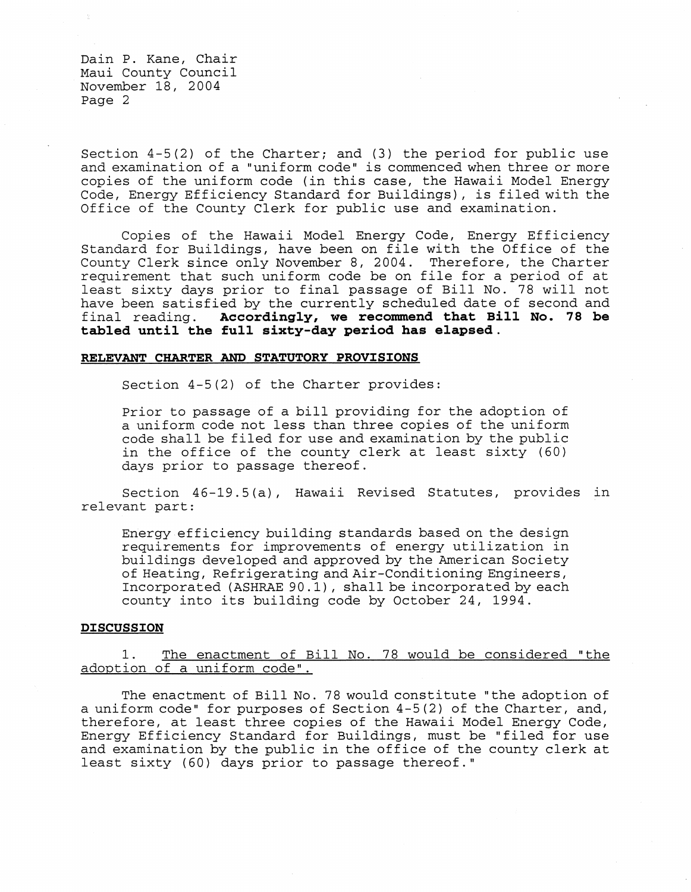Section 4-5(2) of the Charter; and (3) the period for public use and examination of a "uniform code" is commenced when three or more copies of the uniform code (in this case, the Hawaii Model Energy Code, Energy Efficiency Standard for Buildings), is filed with the Office of the County Clerk for public use and examination.

Copies of the Hawaii Model Energy Code, Energy Efficiency Standard for Buildings, have been on file with the Office of the County Clerk since only November 8, 2004. Therefore, the Charter requirement that such uniform code be on file for a period of at least sixty days prior to final passage of Bill No. 78 will not have been satisfied by the currently scheduled date of second and final reading. Accordingly, we recommend that Bill No. 78 be Accordingly, we recommend that Bill No. 78 be **tabled until the full sixty-day period has elapsed.** 

### RELEVANT CHARTER AND STATUTORY PROVISIONS

Section 4-5(2) of the Charter provides:

Prior to passage of a bill providing for the adoption of a uniform code not less than three copies of the uniform code shall be filed for use and examination by the public in the office of the county clerk at least sixty (60) days prior to passage thereof.

Section 46-19.5 (a), Hawaii Revised Statutes, provides in relevant part:

Energy efficiency building standards based on the design requirements for improvements of energy utilization in buildings developed and approved by the American Society of Heating, Refrigerating and Air-Conditioning Engineers, Incorporated (ASHRAE 90.1), shall be incorporated by each county into its building code by October 24, 1994.

## **DISCUSSION**

# 1. The enactment of Bill No. 78 would be considered "the adoption of a uniform code".

The enactment of Bill No. 78 would constitute "the adoption of a uniform code" for purposes of Section 4-5 (2) of the Charter, and, therefore, at least three copies of the Hawaii Model Energy Code, Energy Efficiency Standard for Buildings, must be "filed for use and examination by the public in the office of the county clerk at least sixty (60) days prior to passage thereof."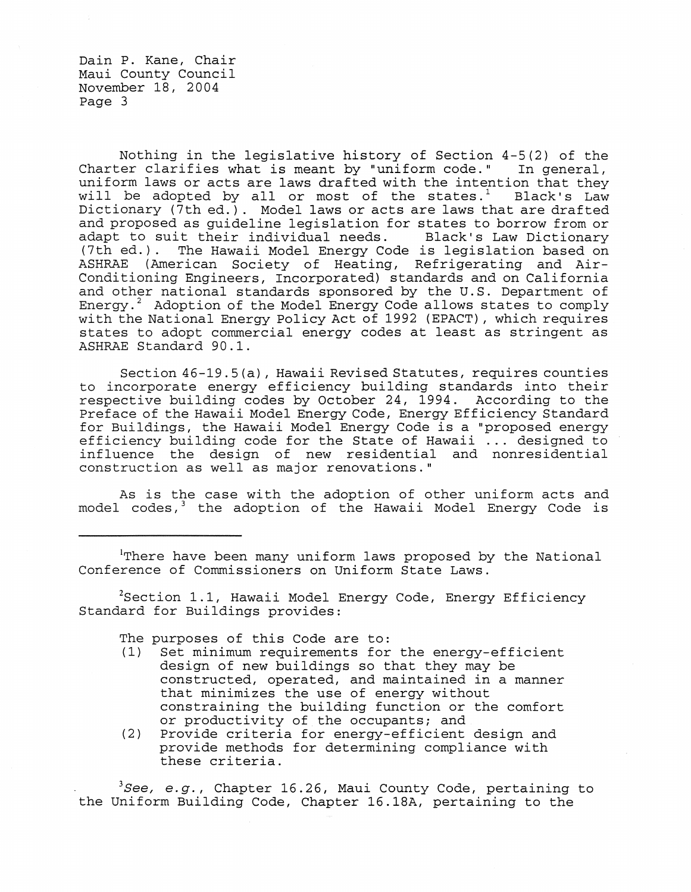Nothing in the legislative history of Section 4-5(2) of the<br>er clarifies what is meant by "uniform code." In general, Charter clarifies what is meant by "uniform code." uniform laws or acts are laws drafted with the intention that they will be adopted by all or most of the states.<sup>1</sup> Black's Law Dictionary (7th ed.). Model laws or acts are laws that are drafted and proposed as guideline legislation for states to borrow from or<br>adapt to suit their individual needs. Black's Law Dictionary adapt to suit their individual needs. (7th ed.). The Hawaii Model Energy Code is legislation based on ASHRAE (American Society of Heating, Refrigerating and Air-Conditioning Engineers, Incorporated) standards and on California and other national standards sponsored by the U.S. Department of Energy. $2$  Adoption of the Model Energy Code allows states to comply with the National Energy Policy Act of 1992 (EPACT), which requires states to adopt commercial energy codes at least as stringent as ASHRAE Standard 90.1.

Section 46-19.5 (a) , Hawaii Revised Statutes, requires counties to incorporate energy efficiency building standards into their respective building codes by October 24, 1994. According to the Preface of the Hawaii Model Energy Code, Energy Efficiency Standard for Buildings, the Hawaii Model Energy Code is a "proposed energy efficiency building code for the State of Hawaii ... designed to influence the design of new residential and nonresidential construction as well as major renovations."

As is the case with the adoption of other uniform acts and model codes,<sup>3</sup> the adoption of the Hawaii Model Energy Code is

iThere have been many uniform laws proposed by the National Conference of Commissioners on Uniform State Laws.

 $2$ Section 1.1, Hawaii Model Energy Code, Energy Efficiency Standard for Buildings provides:

The purposes of this Code are to:<br>(1) Set minimum requirements for

- Set minimum requirements for the energy-efficient design of new buildings so that they may be constructed, operated, and maintained in a manner that minimizes the use of energy without constraining the building function or the comfort or productivity of. the occupants; and
- (2) Provide criteria for energy-efficient design and provide methods for determining compliance with these criteria.

<sup>3</sup>See, e.g., Chapter 16.26, Maui County Code, pertaining to the Uniform Building Code, Chapter 16.18A, pertaining to the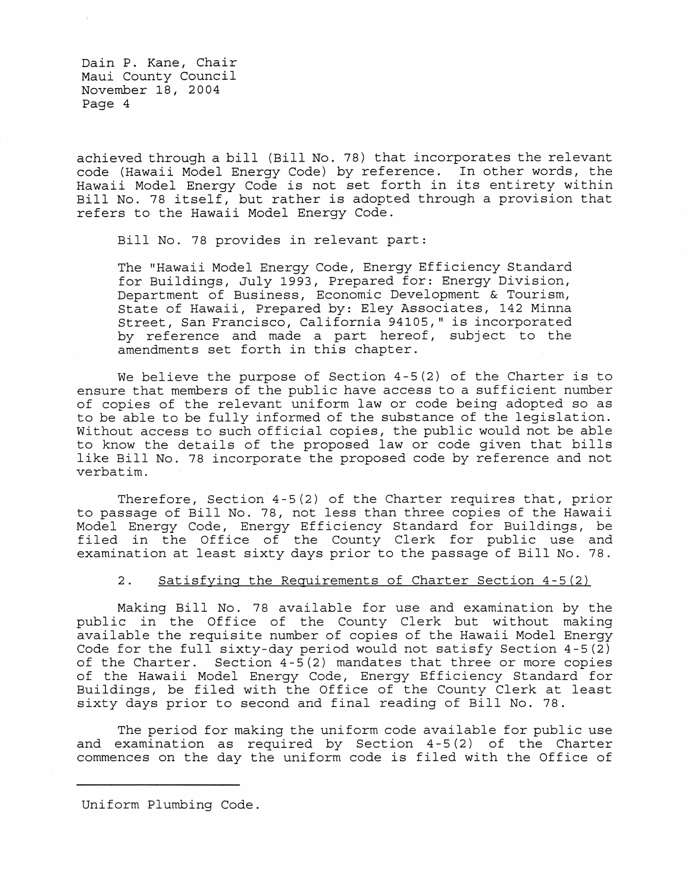achieved through a bill (Bill No. 78) that incorporates the relevant code (Hawaii Model Energy Code) by reference. In other words, the Hawaii Model Energy Code is not set forth in its entirety within Bill No. 78 itself, but rather is adopted through a provision that refers to the Hawaii Model Energy Code.

Bill No. 78 provides in relevant part:

The "Hawaii Model Energy Code, Energy Efficiency Standard for Buildings, July 1993, Prepared for: Energy Division, Department of Business, Economic Development & Tourism, State of Hawaii, Prepared by: Eley Associates, 142 Minna Street, San Francisco, California 94105," is incorporated by reference and made a part hereof, subject to the amendments set forth in this chapter.

We believe the purpose of Section 4-5(2) of the Charter is to ensure that members of the public have access to a sufficient number of copies of the relevant uniform law or code being adopted so as to be able to be fully informed of the substance of the legislation. Without access to such official copies, the public would not be able to know the details of the proposed law or code given that bills like Bill No. 78 incorporate the proposed code by reference and not verbatim.

Therefore, Section 4-5(2) of the Charter requires that, prior to passage of Bill No. 78, not less than three copies of the Hawaii Model Energy Code, Energy Efficiency Standard for Buildings, be filed in the Office of the County Clerk for public use and examination at least sixty days prior to the passage of Bill No. 78.

## 2. Satisfying the Requirements of Charter Section 4-5(2)

Making Bill No. 78 available for use and examination by the public in the Office of the County Clerk but without making available the requisite number of copies of the Hawaii Model Energy Code for the full sixty-day period would not satisfy Section  $4-5(2)$ of the Charter. Section  $4-5(2)$  mandates that three or more copies of the Hawaii Model Energy Code, Energy Efficiency Standard for Buildings, be filed with the Office of the County Clerk at least sixty days prior to second and final reading of Bill No. 78.

The period for making the uniform code available for public use and examination as required by Section 4-5(2) of the Charter commences on the day the uniform code is filed with the Office of

Uniform Plumbing Code.